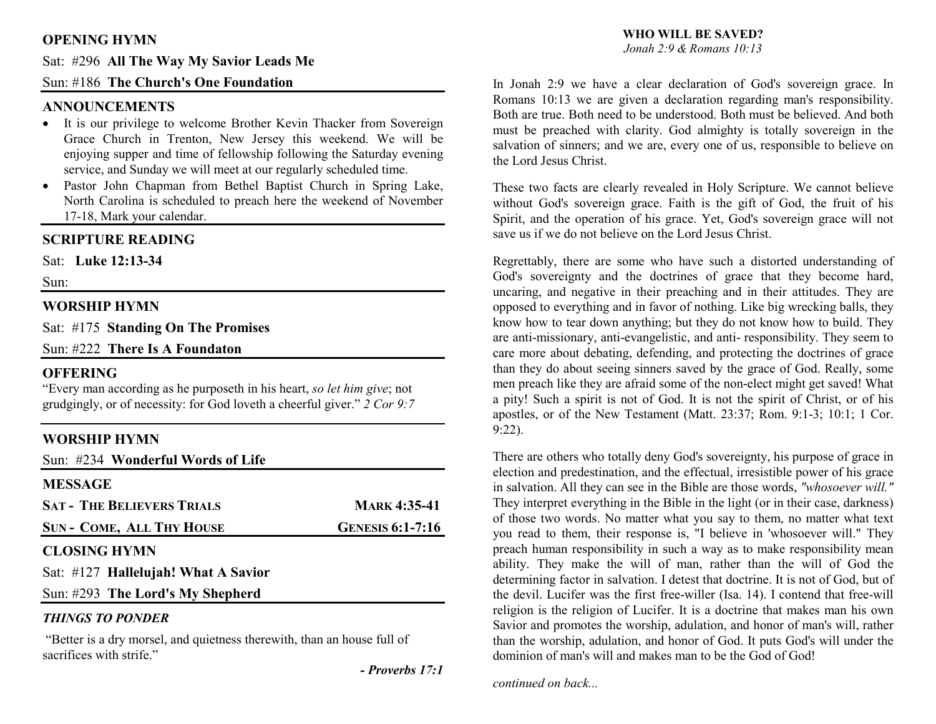## **OPENING HYMN**

## Sat: #296 **All The Way My Savior Leads Me**

## Sun: #186 **The Church's One Foundation**

## **ANNOUNCEMENTS**

- It is our privilege to welcome Brother Kevin Thacker from Sovereign Grace Church in Trenton, New Jersey this weekend. We will be enjoying supper and time of fellowship following the Saturday evening service, and Sunday we will meet at our regularly scheduled time.
- Pastor John Chapman from Bethel Baptist Church in Spring Lake, •North Carolina is scheduled to preach here the weekend of November 17-18, Mark your calendar.

## **SCRIPTURE READING**

Sat: **Luke 12:13-34** 

Sun:

## **WORSHIP HYMN**

Sat: #175 **Standing On The Promises**

Sun: #222 **There Is A Foundaton** 

## **OFFERING**

 "Every man according as he purposeth in his heart, *so let him give*; not grudgingly, or of necessity: for God loveth a cheerful giver." *2 Cor 9:7*

## **WORSHIP HYMN**

Sun: #234 **Wonderful Words of Life**

#### **MESSAGE**

| <b>SAT - THE BELIEVERS TRIALS</b>                              | <b>MARK</b> 4:35-41     |
|----------------------------------------------------------------|-------------------------|
| <b>SUN - COME, ALL THY HOUSE</b>                               | <b>GENESIS 6:1-7:16</b> |
| $\alpha$ $\alpha$ $\alpha$ $\alpha$ $\alpha$ $\alpha$ $\alpha$ |                         |

## **CLOSING HYMN**

Sat: #127 **Hallelujah! What A Savior** 

Sun: #293 **The Lord's My Shepherd**

## *THINGS TO PONDER*

"Better is a dry morsel, and quietness therewith, than an house full of sacrifices with strife."

 *- Proverbs 17:1* 

# **WHO WILL BE SAVED?**

*Jonah 2:9 & Romans 10:13*

In Jonah 2:9 we have a clear declaration of God's sovereign grace. In Romans 10:13 we are given a declaration regarding man's responsibility. Both are true. Both need to be understood. Both must be believed. And both must be preached with clarity. God almighty is totally sovereign in the salvation of sinners; and we are, every one of us, responsible to believe on the Lord Jesus Christ.

These two facts are clearly revealed in Holy Scripture. We cannot believe without God's sovereign grace. Faith is the gift of God, the fruit of his Spirit, and the operation of his grace. Yet, God's sovereign grace will not save us if we do not believe on the Lord Jesus Christ.

Regrettably, there are some who have such a distorted understanding of God's sovereignty and the doctrines of grace that they become hard, uncaring, and negative in their preaching and in their attitudes. They are opposed to everything and in favor of nothing. Like big wrecking balls, they know how to tear down anything; but they do not know how to build. They are anti-missionary, anti-evangelistic, and anti- responsibility. They seem to care more about debating, defending, and protecting the doctrines of grace than they do about seeing sinners saved by the grace of God. Really, some men preach like they are afraid some of the non-elect might get saved! What a pity! Such a spirit is not of God. It is not the spirit of Christ, or of his apostles, or of the New Testament (Matt. 23:37; Rom. 9:1-3; 10:1; 1 Cor. 9:22).

There are others who totally deny God's sovereignty, his purpose of grace in election and predestination, and the effectual, irresistible power of his grace in salvation. All they can see in the Bible are those words, *"whosoever will."* They interpret everything in the Bible in the light (or in their case, darkness) of those two words. No matter what you say to them, no matter what text you read to them, their response is, "I believe in 'whosoever will." They preach human responsibility in such a way as to make responsibility mean ability. They make the will of man, rather than the will of God the determining factor in salvation. I detest that doctrine. It is not of God, but of the devil. Lucifer was the first free-willer (Isa. 14). I contend that free-will religion is the religion of Lucifer. It is a doctrine that makes man his own Savior and promotes the worship, adulation, and honor of man's will, rather than the worship, adulation, and honor of God. It puts God's will under the dominion of man's will and makes man to be the God of God!

*continued on back...*